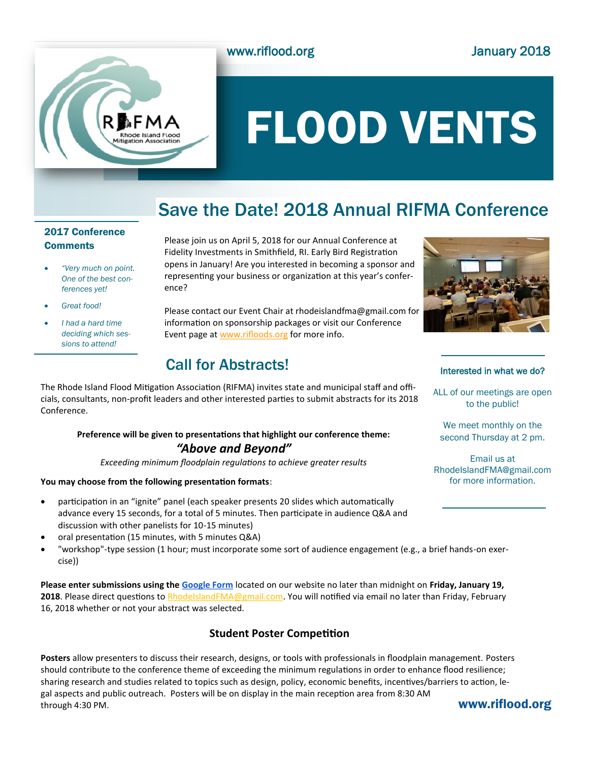



# FLOOD VENTS

# Save the Date! 2018 Annual RIFMA Conference

# 2017 Conference **Comments**

- *"Very much on point. One of the best conferences yet!*
- *Great food!*
- *I had a hard time deciding which sessions to attend!*

Please join us on April 5, 2018 for our Annual Conference at Fidelity Investments in Smithfield, RI. Early Bird Registration opens in January! Are you interested in becoming a sponsor and representing your business or organization at this year's conference?

Please contact our Event Chair at rhodeislandfma@gmail.com for information on sponsorship packages or visit our Conference Event page at [www.rifloods.org](http://www.rifloods.org) for more info.

# Call for Abstracts!

ALL of our meetings are open to the public!

We meet monthly on the second Thursday at 2 pm.

Email us at RhodeIslandFMA@gmail.com for more information.

The Rhode Island Flood Mitigation Association (RIFMA) invites state and municipal staff and officials, consultants, non-profit leaders and other interested parties to submit abstracts for its 2018 Conference.

# **Preference will be given to presentations that highlight our conference theme:**  *"Above and Beyond"*

*Exceeding minimum floodplain regulations to achieve greater results*

## **You may choose from the following presentation formats**:

- participation in an "ignite" panel (each speaker presents 20 slides which automatically advance every 15 seconds, for a total of 5 minutes. Then participate in audience Q&A and discussion with other panelists for 10-15 minutes)
- oral presentation (15 minutes, with 5 minutes Q&A)
- "workshop"-type session (1 hour; must incorporate some sort of audience engagement (e.g., a brief hands-on exercise))

**Please enter submissions using the [Google Form](https://goo.gl/forms/A4t9FkjFRZSZy3B22)** located on our website no later than midnight on **Friday, January 19,**  2018. Please direct questions to [RhodeIslandFMA@gmail.com.](mailto:RhodeIslandFMA@gmail.com) You will notified via email no later than Friday, February 16, 2018 whether or not your abstract was selected.

# **Student Poster Competition**

**Posters** allow presenters to discuss their research, designs, or tools with professionals in floodplain management. Posters should contribute to the conference theme of exceeding the minimum regulations in order to enhance flood resilience; sharing research and studies related to topics such as design, policy, economic benefits, incentives/barriers to action, legal aspects and public outreach. Posters will be on display in the main reception area from 8:30 AM through 4:30 PM.

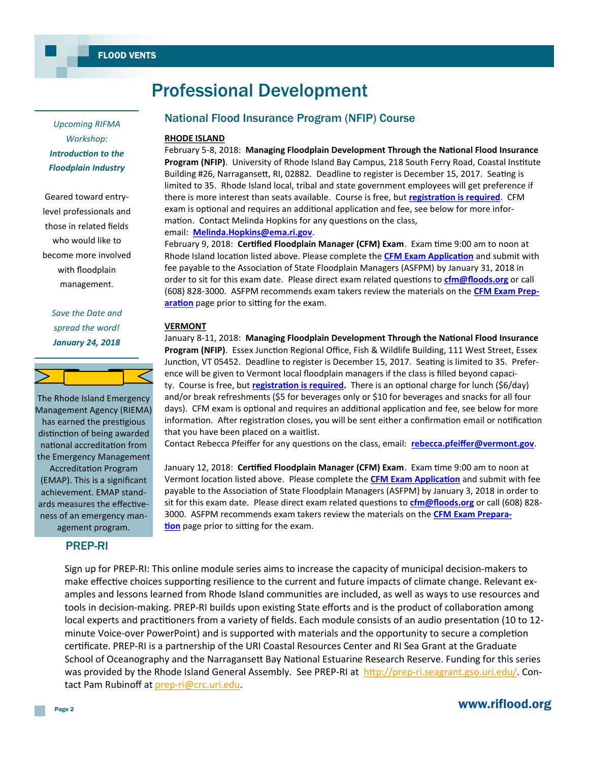*Upcoming RIFMA Workshop: Introduction to the Floodplain Industry*

Geared toward entrylevel professionals and those in related fields who would like to become more involved with floodplain management.

# *Save the Date and spread the word! January 24, 2018*



The Rhode Island Emergency Management Agency (RIEMA) has earned the prestigious distinction of being awarded national accreditation from the Emergency Management Accreditation Program (EMAP). This is a significant achievement. EMAP standards measures the effectiveness of an emergency management program.

# PREP-RI

# Professional Development

# National Flood Insurance Program (NFIP) Course

## **RHODE ISLAND**

February 5-8, 2018: **Managing Floodplain Development Through the National Flood Insurance Program (NFIP)**. University of Rhode Island Bay Campus, 218 South Ferry Road, Coastal Institute Building #26, Narragansett, RI, 02882. Deadline to register is December 15, 2017. Seating is limited to 35. Rhode Island local, tribal and state government employees will get preference if there is more interest than seats available. Course is free, but **[registration is required](https://www.riflood.org/events)**. CFM exam is optional and requires an additional application and fee, see below for more information. Contact Melinda Hopkins for any questions on the class, email: **[Melinda.Hopkins@ema.ri.gov](mailto:Melinda.hopkins@ema.ri.gov)**.

February 9, 2018: **Certified Floodplain Manager (CFM) Exam**. Exam time 9:00 am to noon at Rhode Island location listed above. Please complete the **[CFM Exam Application](http://www.floods.org/ace-files/documentlibrary/CFM/CFM_Application_10.26.2017_FILLABLE.pdf)** and submit with fee payable to the Association of State Floodplain Managers (ASFPM) by January 31, 2018 in order to sit for this exam date. Please direct exam related questions to **[cfm@floods.org](mailto:cfm@floods.org)** or call (608) 828-3000. ASFPM recommends exam takers review the materials on the **[CFM Exam Prep](http://www.floods.org/index.asp?menuID=215&firstlevelmenuID=180&siteID=1)**[aration](http://www.floods.org/index.asp?menuID=215&firstlevelmenuID=180&siteID=1) page prior to sitting for the exam.

## **VERMONT**

January 8-11, 2018: **Managing Floodplain Development Through the National Flood Insurance Program (NFIP)**. Essex Junction Regional Office, Fish & Wildlife Building, 111 West Street, Essex Junction, VT 05452. Deadline to register is December 15, 2017. Seating is limited to 35. Preference will be given to Vermont local floodplain managers if the class is filled beyond capacity. Course is free, but **[registration is required.](https://www.surveymonkey.com/r/VT_FPM2018training)** There is an optional charge for lunch (\$6/day) and/or break refreshments (\$5 for beverages only or \$10 for beverages and snacks for all four days). CFM exam is optional and requires an additional application and fee, see below for more information. After registration closes, you will be sent either a confirmation email or notification that you have been placed on a waitlist.

Contact Rebecca Pfeiffer for any questions on the class, email: **[rebecca.pfeiffer@vermont.gov](mailto:Rebecca.pfeiffer@vermont.gov)**.

January 12, 2018: **Certified Floodplain Manager (CFM) Exam**. Exam time 9:00 am to noon at Vermont location listed above. Please complete the **[CFM Exam Application](http://www.floods.org/ace-files/documentlibrary/CFM/CFM_Application_10.26.2017_FILLABLE.pdf)** and submit with fee payable to the Association of State Floodplain Managers (ASFPM) by January 3, 2018 in order to sit for this exam date. Please direct exam related questions to **[cfm@floods.org](mailto:cfm@floods.org)** or call (608) 828- 3000. ASFPM recommends exam takers review the materials on the **[CFM Exam Prepara](http://www.floods.org/index.asp?menuID=215&firstlevelmenuID=180&siteID=1)[tion](http://www.floods.org/index.asp?menuID=215&firstlevelmenuID=180&siteID=1)** page prior to sitting for the exam.

Sign up for PREP-RI: This online module series aims to increase the capacity of municipal decision-makers to make effective choices supporting resilience to the current and future impacts of climate change. Relevant examples and lessons learned from Rhode Island communities are included, as well as ways to use resources and tools in decision-making. PREP-RI builds upon existing State efforts and is the product of collaboration among local experts and practitioners from a variety of fields. Each module consists of an audio presentation (10 to 12 minute Voice-over PowerPoint) and is supported with materials and the opportunity to secure a completion certificate. PREP-RI is a partnership of the URI Coastal Resources Center and RI Sea Grant at the Graduate School of Oceanography and the Narragansett Bay National Estuarine Research Reserve. Funding for this series was provided by the Rhode Island General Assembly. See PREP-RI at http://prep-[ri.seagrant.gso.uri.edu/.](http://prep-ri.seagrant.gso.uri.edu/) Contact Pam Rubinoff at prep-[ri@crc.uri.edu.](mailto:prep-ri@crc.uri.edu)

# www.riflood.org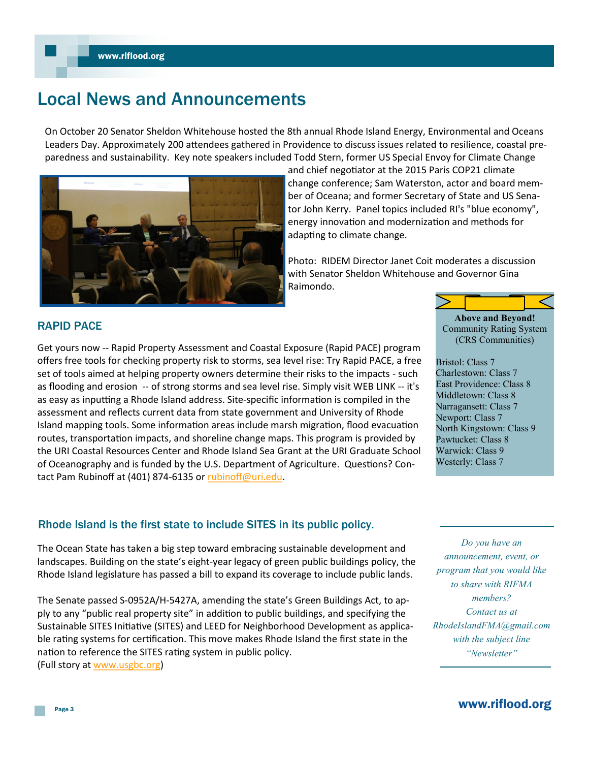# Local News and Announcements

On October 20 Senator Sheldon Whitehouse hosted the 8th annual Rhode Island Energy, Environmental and Oceans Leaders Day. Approximately 200 attendees gathered in Providence to discuss issues related to resilience, coastal preparedness and sustainability. Key note speakers included Todd Stern, former US Special Envoy for Climate Change



and chief negotiator at the 2015 Paris COP21 climate change conference; Sam Waterston, actor and board member of Oceana; and former Secretary of State and US Senator John Kerry. Panel topics included RI's "blue economy", energy innovation and modernization and methods for adapting to climate change.

Photo: RIDEM Director Janet Coit moderates a discussion with Senator Sheldon Whitehouse and Governor Gina Raimondo.

## RAPID PACE

Get yours now -- Rapid Property Assessment and Coastal Exposure (Rapid PACE) program offers free tools for checking property risk to storms, sea level rise: Try Rapid PACE, a free set of tools aimed at helping property owners determine their risks to the impacts - such as flooding and erosion -- of strong storms and sea level rise. Simply visit WEB LINK -- it's as easy as inputting a Rhode Island address. Site-specific information is compiled in the assessment and reflects current data from state government and University of Rhode Island mapping tools. Some information areas include marsh migration, flood evacuation routes, transportation impacts, and shoreline change maps. This program is provided by the URI Coastal Resources Center and Rhode Island Sea Grant at the URI Graduate School of Oceanography and is funded by the U.S. Department of Agriculture. Questions? Contact Pam Rubinoff at (401) 874-6135 or [rubinoff@uri.edu.](mailto:rubinoff@uri.edu)

# Rhode Island is the first state to include SITES in its public policy.

The Ocean State has taken a big step toward embracing sustainable development and landscapes. Building on the state's eight-year legacy of green public buildings policy, the Rhode Island legislature has passed a bill to expand its coverage to include public lands.

The Senate passed S-0952A/H-5427A, amending the state's Green Buildings Act, to apply to any "public real property site" in addition to public buildings, and specifying the Sustainable SITES Initiative (SITES) and LEED for Neighborhood Development as applicable rating systems for certification. This move makes Rhode Island the first state in the nation to reference the SITES rating system in public policy. (Full story at [www.usgbc.org\)](http://www.usgbc.org)

**Above and Beyond!** Community Rating System (CRS Communities)

Bristol: Class 7 Charlestown: Class 7 East Providence: Class 8 Middletown: Class 8 Narragansett: Class 7 Newport: Class 7 North Kingstown: Class 9 Pawtucket: Class 8 Warwick: Class 9 Westerly: Class 7

*Do you have an announcement, event, or program that you would like to share with RIFMA members? Contact us at RhodeIslandFMA@gmail.com with the subject line "Newsletter"*

www.riflood.org